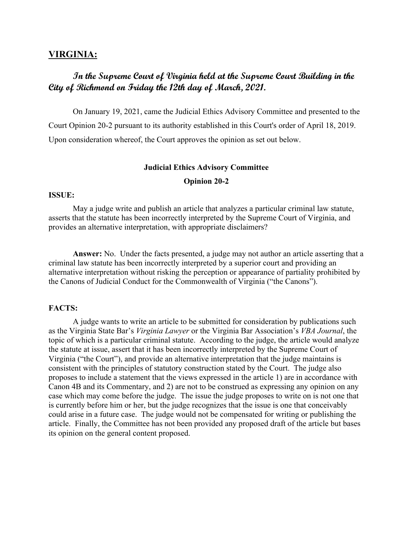# **VIRGINIA:**

# **In the Supreme Court of Virginia held at the Supreme Court Building in the City of Richmond on Friday the 12th day of March, 2021.**

 On January 19, 2021, came the Judicial Ethics Advisory Committee and presented to the Court Opinion 20-2 pursuant to its authority established in this Court's order of April 18, 2019. Upon consideration whereof, the Court approves the opinion as set out below.

# **Judicial Ethics Advisory Committee**

# **Opinion 20-2**

#### **ISSUE:**

May a judge write and publish an article that analyzes a particular criminal law statute, asserts that the statute has been incorrectly interpreted by the Supreme Court of Virginia, and provides an alternative interpretation, with appropriate disclaimers?

 **Answer:** No. Under the facts presented, a judge may not author an article asserting that a criminal law statute has been incorrectly interpreted by a superior court and providing an alternative interpretation without risking the perception or appearance of partiality prohibited by the Canons of Judicial Conduct for the Commonwealth of Virginia ("the Canons").

# **FACTS:**

A judge wants to write an article to be submitted for consideration by publications such as the Virginia State Bar's *Virginia Lawyer* or the Virginia Bar Association's *VBA Journal*, the topic of which is a particular criminal statute. According to the judge, the article would analyze the statute at issue, assert that it has been incorrectly interpreted by the Supreme Court of Virginia ("the Court"), and provide an alternative interpretation that the judge maintains is consistent with the principles of statutory construction stated by the Court. The judge also proposes to include a statement that the views expressed in the article 1) are in accordance with Canon 4B and its Commentary, and 2) are not to be construed as expressing any opinion on any case which may come before the judge. The issue the judge proposes to write on is not one that is currently before him or her, but the judge recognizes that the issue is one that conceivably could arise in a future case. The judge would not be compensated for writing or publishing the article. Finally, the Committee has not been provided any proposed draft of the article but bases its opinion on the general content proposed.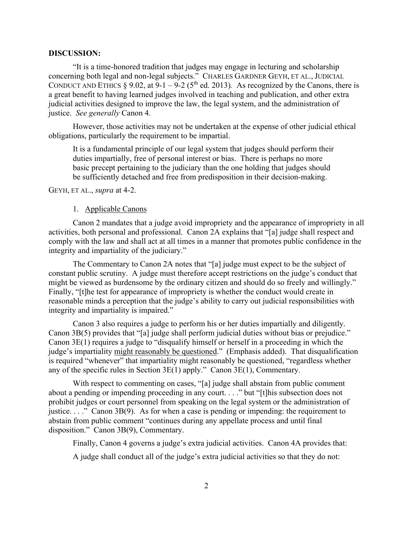#### **DISCUSSION:**

"It is a time-honored tradition that judges may engage in lecturing and scholarship concerning both legal and non-legal subjects." CHARLES GARDNER GEYH, ET AL., JUDICIAL CONDUCT AND ETHICS  $\S 9.02$ , at  $9-1-9-2$  (5<sup>th</sup> ed. 2013). As recognized by the Canons, there is a great benefit to having learned judges involved in teaching and publication, and other extra judicial activities designed to improve the law, the legal system, and the administration of justice. *See generally* Canon 4.

However, those activities may not be undertaken at the expense of other judicial ethical obligations, particularly the requirement to be impartial.

It is a fundamental principle of our legal system that judges should perform their duties impartially, free of personal interest or bias. There is perhaps no more basic precept pertaining to the judiciary than the one holding that judges should be sufficiently detached and free from predisposition in their decision-making.

GEYH, ET AL., *supra* at 4-2.

# 1. Applicable Canons

Canon 2 mandates that a judge avoid impropriety and the appearance of impropriety in all activities, both personal and professional. Canon 2A explains that "[a] judge shall respect and comply with the law and shall act at all times in a manner that promotes public confidence in the integrity and impartiality of the judiciary."

The Commentary to Canon 2A notes that "[a] judge must expect to be the subject of constant public scrutiny. A judge must therefore accept restrictions on the judge's conduct that might be viewed as burdensome by the ordinary citizen and should do so freely and willingly." Finally, "[t]he test for appearance of impropriety is whether the conduct would create in reasonable minds a perception that the judge's ability to carry out judicial responsibilities with integrity and impartiality is impaired."

Canon 3 also requires a judge to perform his or her duties impartially and diligently. Canon 3B(5) provides that "[a] judge shall perform judicial duties without bias or prejudice." Canon 3E(1) requires a judge to "disqualify himself or herself in a proceeding in which the judge's impartiality might reasonably be questioned." (Emphasis added). That disqualification is required "whenever" that impartiality might reasonably be questioned, "regardless whether any of the specific rules in Section 3E(1) apply." Canon 3E(1), Commentary.

With respect to commenting on cases, "[a] judge shall abstain from public comment about a pending or impending proceeding in any court. . . ." but "[t]his subsection does not prohibit judges or court personnel from speaking on the legal system or the administration of justice.  $\ldots$  " Canon 3B(9). As for when a case is pending or impending: the requirement to abstain from public comment "continues during any appellate process and until final disposition." Canon 3B(9), Commentary.

Finally, Canon 4 governs a judge's extra judicial activities. Canon 4A provides that:

A judge shall conduct all of the judge's extra judicial activities so that they do not: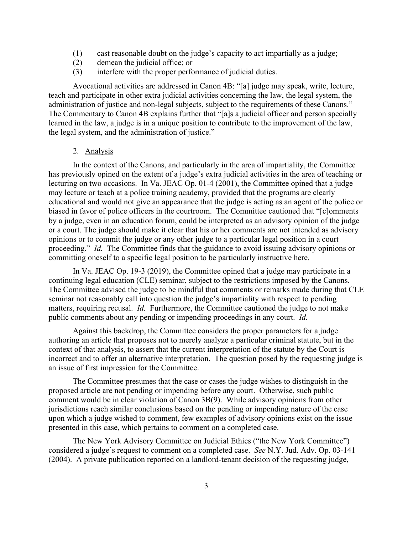- (1) cast reasonable doubt on the judge's capacity to act impartially as a judge;
- (2) demean the judicial office; or
- (3) interfere with the proper performance of judicial duties.

Avocational activities are addressed in Canon 4B: "[a] judge may speak, write, lecture, teach and participate in other extra judicial activities concerning the law, the legal system, the administration of justice and non-legal subjects, subject to the requirements of these Canons." The Commentary to Canon 4B explains further that "[a]s a judicial officer and person specially learned in the law, a judge is in a unique position to contribute to the improvement of the law, the legal system, and the administration of justice."

2. Analysis

In the context of the Canons, and particularly in the area of impartiality, the Committee has previously opined on the extent of a judge's extra judicial activities in the area of teaching or lecturing on two occasions. In Va. JEAC Op. 01-4 (2001), the Committee opined that a judge may lecture or teach at a police training academy, provided that the programs are clearly educational and would not give an appearance that the judge is acting as an agent of the police or biased in favor of police officers in the courtroom. The Committee cautioned that "[c]omments by a judge, even in an education forum, could be interpreted as an advisory opinion of the judge or a court. The judge should make it clear that his or her comments are not intended as advisory opinions or to commit the judge or any other judge to a particular legal position in a court proceeding." *Id.* The Committee finds that the guidance to avoid issuing advisory opinions or committing oneself to a specific legal position to be particularly instructive here.

In Va. JEAC Op. 19-3 (2019), the Committee opined that a judge may participate in a continuing legal education (CLE) seminar, subject to the restrictions imposed by the Canons. The Committee advised the judge to be mindful that comments or remarks made during that CLE seminar not reasonably call into question the judge's impartiality with respect to pending matters, requiring recusal. *Id.* Furthermore, the Committee cautioned the judge to not make public comments about any pending or impending proceedings in any court. *Id.* 

Against this backdrop, the Committee considers the proper parameters for a judge authoring an article that proposes not to merely analyze a particular criminal statute, but in the context of that analysis, to assert that the current interpretation of the statute by the Court is incorrect and to offer an alternative interpretation. The question posed by the requesting judge is an issue of first impression for the Committee.

 The Committee presumes that the case or cases the judge wishes to distinguish in the proposed article are not pending or impending before any court. Otherwise, such public comment would be in clear violation of Canon 3B(9). While advisory opinions from other jurisdictions reach similar conclusions based on the pending or impending nature of the case upon which a judge wished to comment, few examples of advisory opinions exist on the issue presented in this case, which pertains to comment on a completed case.

 The New York Advisory Committee on Judicial Ethics ("the New York Committee") considered a judge's request to comment on a completed case. *See* N.Y. Jud. Adv. Op. 03-141 (2004). A private publication reported on a landlord-tenant decision of the requesting judge,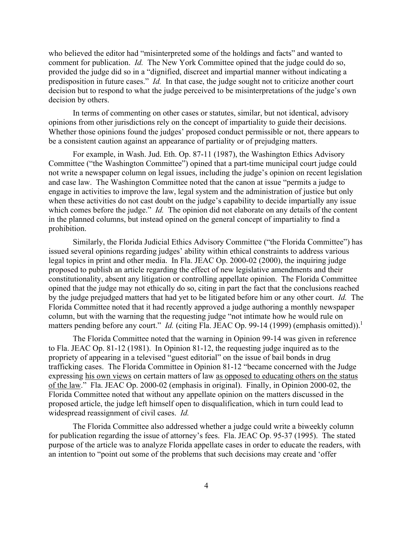who believed the editor had "misinterpreted some of the holdings and facts" and wanted to comment for publication. *Id.* The New York Committee opined that the judge could do so, provided the judge did so in a "dignified, discreet and impartial manner without indicating a predisposition in future cases." *Id.* In that case, the judge sought not to criticize another court decision but to respond to what the judge perceived to be misinterpretations of the judge's own decision by others.

 In terms of commenting on other cases or statutes, similar, but not identical, advisory opinions from other jurisdictions rely on the concept of impartiality to guide their decisions. Whether those opinions found the judges' proposed conduct permissible or not, there appears to be a consistent caution against an appearance of partiality or of prejudging matters.

 For example, in Wash. Jud. Eth. Op. 87-11 (1987), the Washington Ethics Advisory Committee ("the Washington Committee") opined that a part-time municipal court judge could not write a newspaper column on legal issues, including the judge's opinion on recent legislation and case law. The Washington Committee noted that the canon at issue "permits a judge to engage in activities to improve the law, legal system and the administration of justice but only when these activities do not cast doubt on the judge's capability to decide impartially any issue which comes before the judge." *Id.* The opinion did not elaborate on any details of the content in the planned columns, but instead opined on the general concept of impartiality to find a prohibition.

 Similarly, the Florida Judicial Ethics Advisory Committee ("the Florida Committee") has issued several opinions regarding judges' ability within ethical constraints to address various legal topics in print and other media. In Fla. JEAC Op. 2000-02 (2000), the inquiring judge proposed to publish an article regarding the effect of new legislative amendments and their constitutionality, absent any litigation or controlling appellate opinion. The Florida Committee opined that the judge may not ethically do so, citing in part the fact that the conclusions reached by the judge prejudged matters that had yet to be litigated before him or any other court. *Id.* The Florida Committee noted that it had recently approved a judge authoring a monthly newspaper column, but with the warning that the requesting judge "not intimate how he would rule on matters pending before any court." *Id.* (citing Fla. JEAC Op. 99-14 (1999) (emphasis omitted)).<sup>1</sup>

 The Florida Committee noted that the warning in Opinion 99-14 was given in reference to Fla. JEAC Op. 81-12 (1981). In Opinion 81-12, the requesting judge inquired as to the propriety of appearing in a televised "guest editorial" on the issue of bail bonds in drug trafficking cases. The Florida Committee in Opinion 81-12 "became concerned with the Judge expressing his own views on certain matters of law as opposed to educating others on the status of the law." Fla. JEAC Op. 2000-02 (emphasis in original). Finally, in Opinion 2000-02, the Florida Committee noted that without any appellate opinion on the matters discussed in the proposed article, the judge left himself open to disqualification, which in turn could lead to widespread reassignment of civil cases. *Id.*

 The Florida Committee also addressed whether a judge could write a biweekly column for publication regarding the issue of attorney's fees. Fla. JEAC Op. 95-37 (1995). The stated purpose of the article was to analyze Florida appellate cases in order to educate the readers, with an intention to "point out some of the problems that such decisions may create and 'offer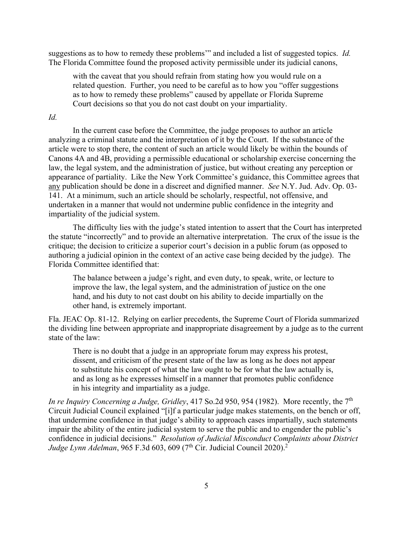suggestions as to how to remedy these problems'" and included a list of suggested topics. *Id.* The Florida Committee found the proposed activity permissible under its judicial canons,

with the caveat that you should refrain from stating how you would rule on a related question. Further, you need to be careful as to how you "offer suggestions as to how to remedy these problems" caused by appellate or Florida Supreme Court decisions so that you do not cast doubt on your impartiality.

# *Id.*

 In the current case before the Committee, the judge proposes to author an article analyzing a criminal statute and the interpretation of it by the Court. If the substance of the article were to stop there, the content of such an article would likely be within the bounds of Canons 4A and 4B, providing a permissible educational or scholarship exercise concerning the law, the legal system, and the administration of justice, but without creating any perception or appearance of partiality. Like the New York Committee's guidance, this Committee agrees that any publication should be done in a discreet and dignified manner. *See* N.Y. Jud. Adv. Op. 03- 141. At a minimum, such an article should be scholarly, respectful, not offensive, and undertaken in a manner that would not undermine public confidence in the integrity and impartiality of the judicial system.

The difficulty lies with the judge's stated intention to assert that the Court has interpreted the statute "incorrectly" and to provide an alternative interpretation. The crux of the issue is the critique; the decision to criticize a superior court's decision in a public forum (as opposed to authoring a judicial opinion in the context of an active case being decided by the judge). The Florida Committee identified that:

The balance between a judge's right, and even duty, to speak, write, or lecture to improve the law, the legal system, and the administration of justice on the one hand, and his duty to not cast doubt on his ability to decide impartially on the other hand, is extremely important.

Fla. JEAC Op. 81-12. Relying on earlier precedents, the Supreme Court of Florida summarized the dividing line between appropriate and inappropriate disagreement by a judge as to the current state of the law:

There is no doubt that a judge in an appropriate forum may express his protest, dissent, and criticism of the present state of the law as long as he does not appear to substitute his concept of what the law ought to be for what the law actually is, and as long as he expresses himself in a manner that promotes public confidence in his integrity and impartiality as a judge.

*In re Inquiry Concerning a Judge, Gridley, 417 So.2d 950, 954 (1982).* More recently, the 7<sup>th</sup> Circuit Judicial Council explained "[i]f a particular judge makes statements, on the bench or off, that undermine confidence in that judge's ability to approach cases impartially, such statements impair the ability of the entire judicial system to serve the public and to engender the public's confidence in judicial decisions." *Resolution of Judicial Misconduct Complaints about District Judge Lynn Adelman*, 965 F.3d 603, 609 (7<sup>th</sup> Cir. Judicial Council 2020).<sup>2</sup>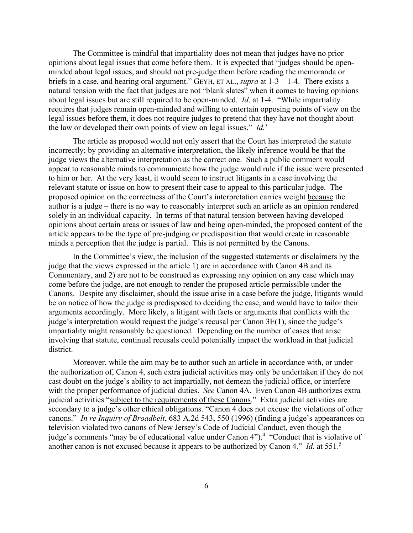The Committee is mindful that impartiality does not mean that judges have no prior opinions about legal issues that come before them. It is expected that "judges should be openminded about legal issues, and should not pre-judge them before reading the memoranda or briefs in a case, and hearing oral argument." GEYH, ET AL., *supra* at 1-3 – 1-4. There exists a natural tension with the fact that judges are not "blank slates" when it comes to having opinions about legal issues but are still required to be open-minded. *Id*. at 1-4. "While impartiality requires that judges remain open-minded and willing to entertain opposing points of view on the legal issues before them, it does not require judges to pretend that they have not thought about the law or developed their own points of view on legal issues." *Id.*<sup>3</sup>

 The article as proposed would not only assert that the Court has interpreted the statute incorrectly; by providing an alternative interpretation, the likely inference would be that the judge views the alternative interpretation as the correct one. Such a public comment would appear to reasonable minds to communicate how the judge would rule if the issue were presented to him or her. At the very least, it would seem to instruct litigants in a case involving the relevant statute or issue on how to present their case to appeal to this particular judge. The proposed opinion on the correctness of the Court's interpretation carries weight because the author is a judge – there is no way to reasonably interpret such an article as an opinion rendered solely in an individual capacity. In terms of that natural tension between having developed opinions about certain areas or issues of law and being open-minded, the proposed content of the article appears to be the type of pre-judging or predisposition that would create in reasonable minds a perception that the judge is partial. This is not permitted by the Canons.

 In the Committee's view, the inclusion of the suggested statements or disclaimers by the judge that the views expressed in the article 1) are in accordance with Canon 4B and its Commentary, and 2) are not to be construed as expressing any opinion on any case which may come before the judge, are not enough to render the proposed article permissible under the Canons. Despite any disclaimer, should the issue arise in a case before the judge, litigants would be on notice of how the judge is predisposed to deciding the case, and would have to tailor their arguments accordingly. More likely, a litigant with facts or arguments that conflicts with the judge's interpretation would request the judge's recusal per Canon 3E(1), since the judge's impartiality might reasonably be questioned. Depending on the number of cases that arise involving that statute, continual recusals could potentially impact the workload in that judicial district.

 Moreover, while the aim may be to author such an article in accordance with, or under the authorization of, Canon 4, such extra judicial activities may only be undertaken if they do not cast doubt on the judge's ability to act impartially, not demean the judicial office, or interfere with the proper performance of judicial duties. *See* Canon 4A. Even Canon 4B authorizes extra judicial activities "subject to the requirements of these Canons." Extra judicial activities are secondary to a judge's other ethical obligations. "Canon 4 does not excuse the violations of other canons." *In re Inquiry of Broadbelt*, 683 A.2d 543, 550 (1996) (finding a judge's appearances on television violated two canons of New Jersey's Code of Judicial Conduct, even though the judge's comments "may be of educational value under Canon 4").<sup>4</sup> "Conduct that is violative of another canon is not excused because it appears to be authorized by Canon 4." *Id.* at 551.5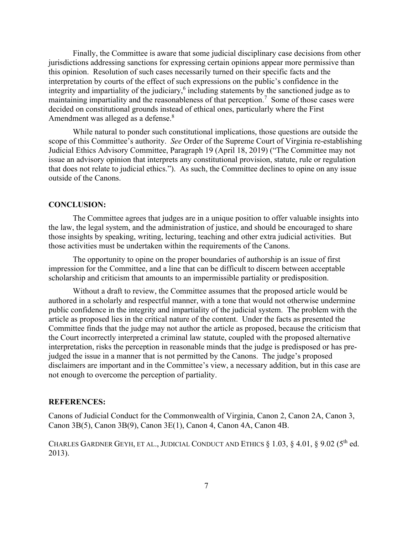Finally, the Committee is aware that some judicial disciplinary case decisions from other jurisdictions addressing sanctions for expressing certain opinions appear more permissive than this opinion. Resolution of such cases necessarily turned on their specific facts and the interpretation by courts of the effect of such expressions on the public's confidence in the integrity and impartiality of the judiciary,<sup>6</sup> including statements by the sanctioned judge as to maintaining impartiality and the reasonableness of that perception.<sup>7</sup> Some of those cases were decided on constitutional grounds instead of ethical ones, particularly where the First Amendment was alleged as a defense.<sup>8</sup>

 While natural to ponder such constitutional implications, those questions are outside the scope of this Committee's authority. *See* Order of the Supreme Court of Virginia re-establishing Judicial Ethics Advisory Committee, Paragraph 19 (April 18, 2019) ("The Committee may not issue an advisory opinion that interprets any constitutional provision, statute, rule or regulation that does not relate to judicial ethics."). As such, the Committee declines to opine on any issue outside of the Canons.

# **CONCLUSION:**

The Committee agrees that judges are in a unique position to offer valuable insights into the law, the legal system, and the administration of justice, and should be encouraged to share those insights by speaking, writing, lecturing, teaching and other extra judicial activities. But those activities must be undertaken within the requirements of the Canons.

The opportunity to opine on the proper boundaries of authorship is an issue of first impression for the Committee, and a line that can be difficult to discern between acceptable scholarship and criticism that amounts to an impermissible partiality or predisposition.

Without a draft to review, the Committee assumes that the proposed article would be authored in a scholarly and respectful manner, with a tone that would not otherwise undermine public confidence in the integrity and impartiality of the judicial system. The problem with the article as proposed lies in the critical nature of the content. Under the facts as presented the Committee finds that the judge may not author the article as proposed, because the criticism that the Court incorrectly interpreted a criminal law statute, coupled with the proposed alternative interpretation, risks the perception in reasonable minds that the judge is predisposed or has prejudged the issue in a manner that is not permitted by the Canons. The judge's proposed disclaimers are important and in the Committee's view, a necessary addition, but in this case are not enough to overcome the perception of partiality.

#### **REFERENCES:**

Canons of Judicial Conduct for the Commonwealth of Virginia, Canon 2, Canon 2A, Canon 3, Canon 3B(5), Canon 3B(9), Canon 3E(1), Canon 4, Canon 4A, Canon 4B.

CHARLES GARDNER GEYH, ET AL., JUDICIAL CONDUCT AND ETHICS  $\S$  1.03,  $\S$  4.01,  $\S$  9.02 (5<sup>th</sup> ed. 2013).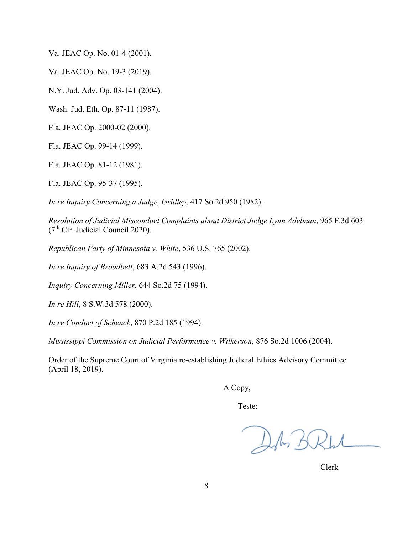Va. JEAC Op. No. 01-4 (2001).

Va. JEAC Op. No. 19-3 (2019).

N.Y. Jud. Adv. Op. 03-141 (2004).

Wash. Jud. Eth. Op. 87-11 (1987).

Fla. JEAC Op. 2000-02 (2000).

Fla. JEAC Op. 99-14 (1999).

Fla. JEAC Op. 81-12 (1981).

Fla. JEAC Op. 95-37 (1995).

*In re Inquiry Concerning a Judge, Gridley*, 417 So.2d 950 (1982).

*Resolution of Judicial Misconduct Complaints about District Judge Lynn Adelman*, 965 F.3d 603  $(7<sup>th</sup> Cir.$  Judicial Council 2020).

*Republican Party of Minnesota v. White*, 536 U.S. 765 (2002).

*In re Inquiry of Broadbelt*, 683 A.2d 543 (1996).

*Inquiry Concerning Miller*, 644 So.2d 75 (1994).

*In re Hill*, 8 S.W.3d 578 (2000).

*In re Conduct of Schenck*, 870 P.2d 185 (1994).

*Mississippi Commission on Judicial Performance v. Wilkerson*, 876 So.2d 1006 (2004).

Order of the Supreme Court of Virginia re-establishing Judicial Ethics Advisory Committee (April 18, 2019).

A Copy,

Teste:

DA BRL

Clerk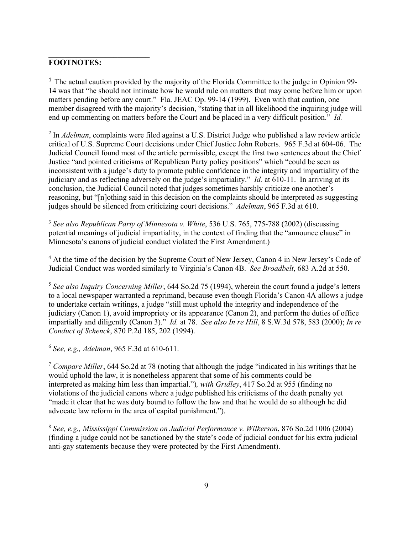# **FOOTNOTES:**

**\_\_\_\_\_\_\_\_\_\_\_\_\_\_\_\_\_\_\_\_\_\_\_\_\_** 

 $1$  The actual caution provided by the majority of the Florida Committee to the judge in Opinion 99-14 was that "he should not intimate how he would rule on matters that may come before him or upon matters pending before any court." Fla. JEAC Op. 99-14 (1999). Even with that caution, one member disagreed with the majority's decision, "stating that in all likelihood the inquiring judge will end up commenting on matters before the Court and be placed in a very difficult position." *Id.* 

2 In *Adelman*, complaints were filed against a U.S. District Judge who published a law review article critical of U.S. Supreme Court decisions under Chief Justice John Roberts. 965 F.3d at 604-06. The Judicial Council found most of the article permissible, except the first two sentences about the Chief Justice "and pointed criticisms of Republican Party policy positions" which "could be seen as inconsistent with a judge's duty to promote public confidence in the integrity and impartiality of the judiciary and as reflecting adversely on the judge's impartiality." *Id.* at 610-11. In arriving at its conclusion, the Judicial Council noted that judges sometimes harshly criticize one another's reasoning, but "[n]othing said in this decision on the complaints should be interpreted as suggesting judges should be silenced from criticizing court decisions." *Adelman*, 965 F.3d at 610.

<sup>3</sup> *See also Republican Party of Minnesota v. White*, 536 U.S. 765, 775-788 (2002) (discussing potential meanings of judicial impartiality, in the context of finding that the "announce clause" in Minnesota's canons of judicial conduct violated the First Amendment.)

<sup>4</sup> At the time of the decision by the Supreme Court of New Jersey, Canon 4 in New Jersey's Code of Judicial Conduct was worded similarly to Virginia's Canon 4B. *See Broadbelt*, 683 A.2d at 550.

<sup>5</sup> *See also Inquiry Concerning Miller*, 644 So.2d 75 (1994), wherein the court found a judge's letters to a local newspaper warranted a reprimand, because even though Florida's Canon 4A allows a judge to undertake certain writings, a judge "still must uphold the integrity and independence of the judiciary (Canon 1), avoid impropriety or its appearance (Canon 2), and perform the duties of office impartially and diligently (Canon 3)." *Id.* at 78. *See also In re Hill*, 8 S.W.3d 578, 583 (2000); *In re Conduct of Schenck*, 870 P.2d 185, 202 (1994).

<sup>6</sup> *See, e.g., Adelman*, 965 F.3d at 610-611.

<sup>7</sup> *Compare Miller*, 644 So.2d at 78 (noting that although the judge "indicated in his writings that he would uphold the law, it is nonetheless apparent that some of his comments could be interpreted as making him less than impartial.")*, with Gridley*, 417 So.2d at 955 (finding no violations of the judicial canons where a judge published his criticisms of the death penalty yet "made it clear that he was duty bound to follow the law and that he would do so although he did advocate law reform in the area of capital punishment.").

<sup>8</sup> *See, e.g., Mississippi Commission on Judicial Performance v. Wilkerson*, 876 So.2d 1006 (2004) (finding a judge could not be sanctioned by the state's code of judicial conduct for his extra judicial anti-gay statements because they were protected by the First Amendment).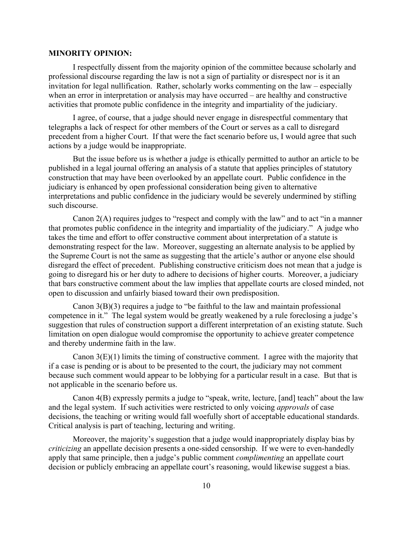# **MINORITY OPINION:**

I respectfully dissent from the majority opinion of the committee because scholarly and professional discourse regarding the law is not a sign of partiality or disrespect nor is it an invitation for legal nullification. Rather, scholarly works commenting on the law – especially when an error in interpretation or analysis may have occurred – are healthy and constructive activities that promote public confidence in the integrity and impartiality of the judiciary.

I agree, of course, that a judge should never engage in disrespectful commentary that telegraphs a lack of respect for other members of the Court or serves as a call to disregard precedent from a higher Court. If that were the fact scenario before us, I would agree that such actions by a judge would be inappropriate.

But the issue before us is whether a judge is ethically permitted to author an article to be published in a legal journal offering an analysis of a statute that applies principles of statutory construction that may have been overlooked by an appellate court. Public confidence in the judiciary is enhanced by open professional consideration being given to alternative interpretations and public confidence in the judiciary would be severely undermined by stifling such discourse.

Canon 2(A) requires judges to "respect and comply with the law" and to act "in a manner that promotes public confidence in the integrity and impartiality of the judiciary." A judge who takes the time and effort to offer constructive comment about interpretation of a statute is demonstrating respect for the law. Moreover, suggesting an alternate analysis to be applied by the Supreme Court is not the same as suggesting that the article's author or anyone else should disregard the effect of precedent. Publishing constructive criticism does not mean that a judge is going to disregard his or her duty to adhere to decisions of higher courts. Moreover, a judiciary that bars constructive comment about the law implies that appellate courts are closed minded, not open to discussion and unfairly biased toward their own predisposition.

Canon 3(B)(3) requires a judge to "be faithful to the law and maintain professional competence in it." The legal system would be greatly weakened by a rule foreclosing a judge's suggestion that rules of construction support a different interpretation of an existing statute. Such limitation on open dialogue would compromise the opportunity to achieve greater competence and thereby undermine faith in the law.

Canon  $3(E)(1)$  limits the timing of constructive comment. I agree with the majority that if a case is pending or is about to be presented to the court, the judiciary may not comment because such comment would appear to be lobbying for a particular result in a case. But that is not applicable in the scenario before us.

Canon 4(B) expressly permits a judge to "speak, write, lecture, [and] teach" about the law and the legal system. If such activities were restricted to only voicing *approvals* of case decisions, the teaching or writing would fall woefully short of acceptable educational standards. Critical analysis is part of teaching, lecturing and writing.

Moreover, the majority's suggestion that a judge would inappropriately display bias by *criticizing* an appellate decision presents a one-sided censorship. If we were to even-handedly apply that same principle, then a judge's public comment *complimenting* an appellate court decision or publicly embracing an appellate court's reasoning, would likewise suggest a bias.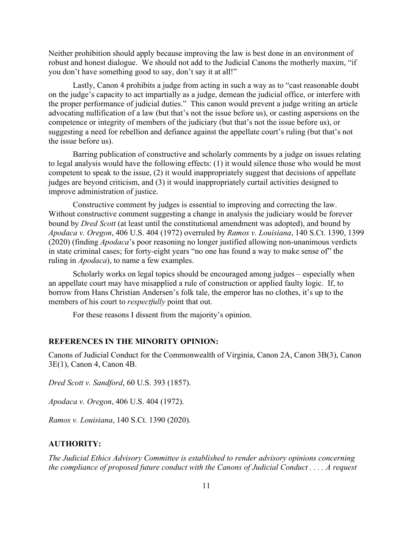Neither prohibition should apply because improving the law is best done in an environment of robust and honest dialogue. We should not add to the Judicial Canons the motherly maxim, "if you don't have something good to say, don't say it at all!"

Lastly, Canon 4 prohibits a judge from acting in such a way as to "cast reasonable doubt on the judge's capacity to act impartially as a judge, demean the judicial office, or interfere with the proper performance of judicial duties." This canon would prevent a judge writing an article advocating nullification of a law (but that's not the issue before us), or casting aspersions on the competence or integrity of members of the judiciary (but that's not the issue before us), or suggesting a need for rebellion and defiance against the appellate court's ruling (but that's not the issue before us).

Barring publication of constructive and scholarly comments by a judge on issues relating to legal analysis would have the following effects: (1) it would silence those who would be most competent to speak to the issue, (2) it would inappropriately suggest that decisions of appellate judges are beyond criticism, and (3) it would inappropriately curtail activities designed to improve administration of justice.

Constructive comment by judges is essential to improving and correcting the law. Without constructive comment suggesting a change in analysis the judiciary would be forever bound by *Dred Scott* (at least until the constitutional amendment was adopted), and bound by *Apodaca v. Oregon*, 406 U.S. 404 (1972) overruled by *Ramos v. Louisiana*, 140 S.Ct. 1390, 1399 (2020) (finding *Apodaca*'s poor reasoning no longer justified allowing non-unanimous verdicts in state criminal cases; for forty-eight years "no one has found a way to make sense of" the ruling in *Apodaca*), to name a few examples.

Scholarly works on legal topics should be encouraged among judges – especially when an appellate court may have misapplied a rule of construction or applied faulty logic. If, to borrow from Hans Christian Andersen's folk tale, the emperor has no clothes, it's up to the members of his court to *respectfully* point that out.

For these reasons I dissent from the majority's opinion.

### **REFERENCES IN THE MINORITY OPINION:**

Canons of Judicial Conduct for the Commonwealth of Virginia, Canon 2A, Canon 3B(3), Canon 3E(1), Canon 4, Canon 4B.

*Dred Scott v. Sandford*, 60 U.S. 393 (1857).

*Apodaca v. Oregon*, 406 U.S. 404 (1972).

*Ramos v. Louisiana*, 140 S.Ct. 1390 (2020).

### **AUTHORITY:**

*The Judicial Ethics Advisory Committee is established to render advisory opinions concerning the compliance of proposed future conduct with the Canons of Judicial Conduct . . . . A request*